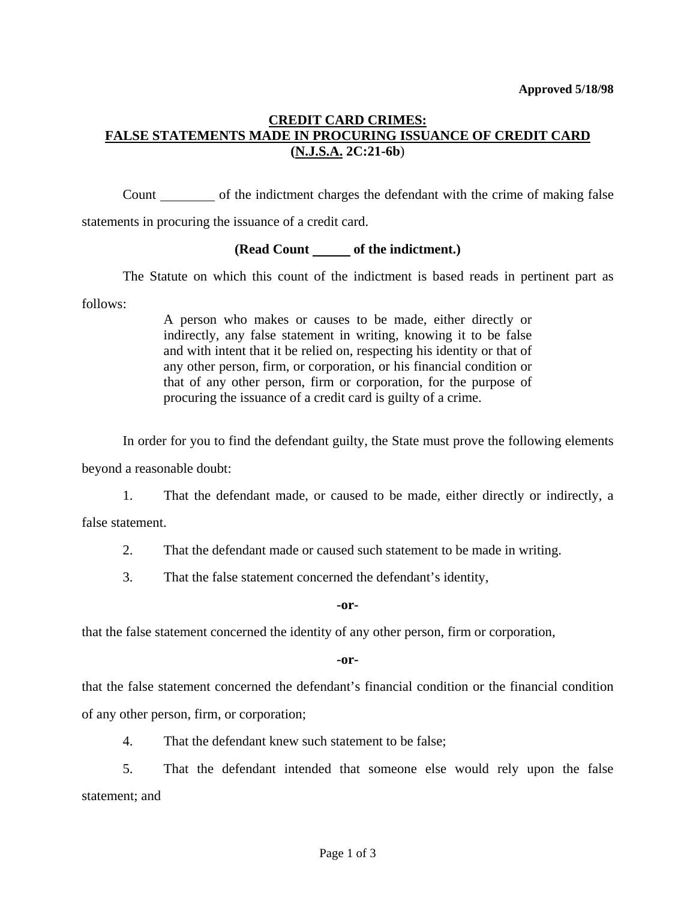## **CREDIT CARD CRIMES: FALSE STATEMENTS MADE IN PROCURING ISSUANCE OF CREDIT CARD (N.J.S.A. 2C:21-6b**)

 Count of the indictment charges the defendant with the crime of making false statements in procuring the issuance of a credit card.

## **(Read Count of the indictment.)**

 The Statute on which this count of the indictment is based reads in pertinent part as follows:

> A person who makes or causes to be made, either directly or indirectly, any false statement in writing, knowing it to be false and with intent that it be relied on, respecting his identity or that of any other person, firm, or corporation, or his financial condition or that of any other person, firm or corporation, for the purpose of procuring the issuance of a credit card is guilty of a crime.

In order for you to find the defendant guilty, the State must prove the following elements

beyond a reasonable doubt:

1. That the defendant made, or caused to be made, either directly or indirectly, a

false statement.

- 2. That the defendant made or caused such statement to be made in writing.
- 3. That the false statement concerned the defendant's identity,

**-or-**

that the false statement concerned the identity of any other person, firm or corporation,

**-or-**

that the false statement concerned the defendant's financial condition or the financial condition of any other person, firm, or corporation;

4. That the defendant knew such statement to be false;

 5. That the defendant intended that someone else would rely upon the false statement; and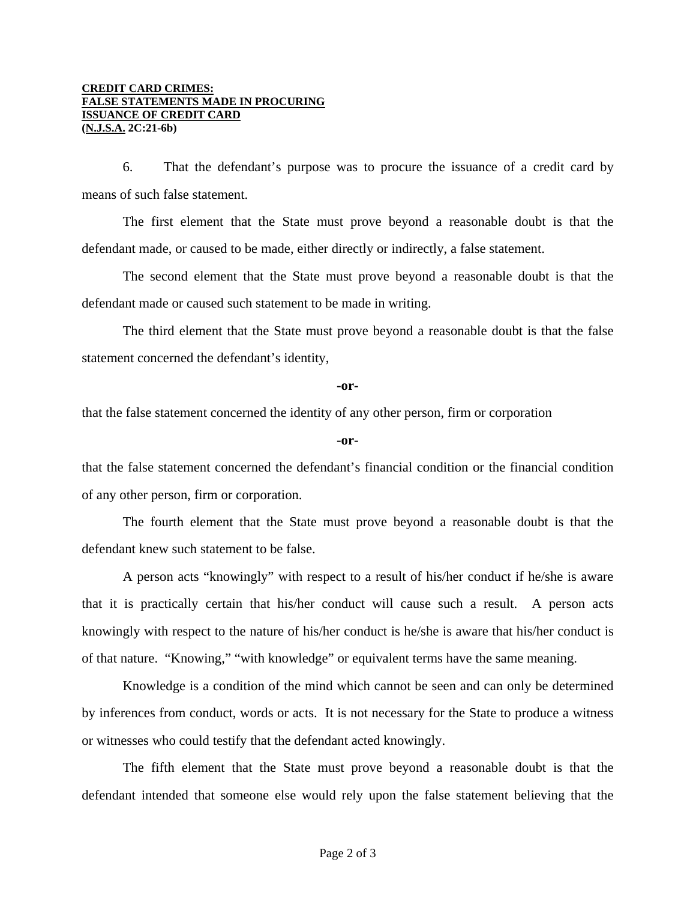6. That the defendant's purpose was to procure the issuance of a credit card by means of such false statement.

 The first element that the State must prove beyond a reasonable doubt is that the defendant made, or caused to be made, either directly or indirectly, a false statement.

 The second element that the State must prove beyond a reasonable doubt is that the defendant made or caused such statement to be made in writing.

 The third element that the State must prove beyond a reasonable doubt is that the false statement concerned the defendant's identity,

## **-or-**

that the false statement concerned the identity of any other person, firm or corporation

## **-or-**

that the false statement concerned the defendant's financial condition or the financial condition of any other person, firm or corporation.

 The fourth element that the State must prove beyond a reasonable doubt is that the defendant knew such statement to be false.

 A person acts "knowingly" with respect to a result of his/her conduct if he/she is aware that it is practically certain that his/her conduct will cause such a result. A person acts knowingly with respect to the nature of his/her conduct is he/she is aware that his/her conduct is of that nature. "Knowing," "with knowledge" or equivalent terms have the same meaning.

 Knowledge is a condition of the mind which cannot be seen and can only be determined by inferences from conduct, words or acts. It is not necessary for the State to produce a witness or witnesses who could testify that the defendant acted knowingly.

 The fifth element that the State must prove beyond a reasonable doubt is that the defendant intended that someone else would rely upon the false statement believing that the